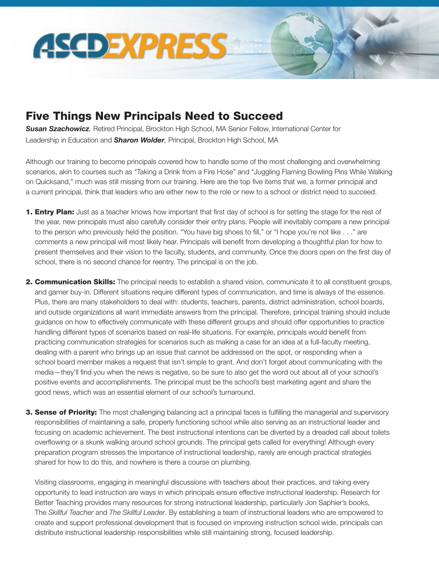

## Five Things New Principals Need to Succeed

*Susan Szachowicz,* Retired Principal, Brockton High School, MA Senior Fellow, International Center for Leadership in Education and *Sharon Wolder,* Principal, Brockton High School, MA

Although our training to become principals covered how to handle some of the most challenging and overwhelming scenarios, akin to courses such as "Taking a Drink from a Fire Hose" and "Juggling Flaming Bowling Pins While Walking on Quicksand," much was still missing from our training. Here are the top five items that we, a former principal and a current principal, think that leaders who are either new to the role or new to a school or district need to succeed.

- **1. Entry Plan:** Just as a teacher knows how important that first day of school is for setting the stage for the rest of the year, new principals must also carefully consider their entry plans. People will inevitably compare a new principal to the person who previously held the position. "You have big shoes to fill," or "I hope you're not like . . ." are comments a new principal will most likely hear. Principals will benefit from developing a thoughtful plan for how to present themselves and their vision to the faculty, students, and community. Once the doors open on the first day of school, there is no second chance for reentry. The principal is on the job.
- 2. Communication Skills: The principal needs to establish a shared vision, communicate it to all constituent groups, and garner buy-in. Different situations require different types of communication, and time is always of the essence. Plus, there are many stakeholders to deal with: students, teachers, parents, district administration, school boards, and outside organizations all want immediate answers from the principal. Therefore, principal training should include guidance on how to effectively communicate with these different groups and should offer opportunities to practice handling different types of scenarios based on real-life situations. For example, principals would benefit from practicing communication strategies for scenarios such as making a case for an idea at a full-faculty meeting, dealing with a parent who brings up an issue that cannot be addressed on the spot, or responding when a school board member makes a request that isn't simple to grant. And don't forget about communicating with the media—they'll find you when the news is negative, so be sure to also get the word out about all of your school's positive events and accomplishments. The principal must be the school's best marketing agent and share the good news, which was an essential element of our school's turnaround.
- 3. Sense of Priority: The most challenging balancing act a principal faces is fulfilling the managerial and supervisory responsibilities of maintaining a safe, properly functioning school while also serving as an instructional leader and focusing on academic achievement. The best instructional intentions can be diverted by a dreaded call about toilets overflowing or a skunk walking around school grounds. The principal gets called for everything! Although every preparation program stresses the importance of instructional leadership, rarely are enough practical strategies shared for how to do this, and nowhere is there a course on plumbing.

Visiting classrooms, engaging in meaningful discussions with teachers about their practices, and taking every opportunity to lead instruction are ways in which principals ensure effective instructional leadership. Research for Better Teaching provides many resources for strong instructional leadership, particularly Jon Saphier's books, The *Skillful Teacher* and *The Skillful Leader*. By establishing a team of instructional leaders who are empowered to create and support professional development that is focused on improving instruction school wide, principals can distribute instructional leadership responsibilities while still maintaining strong, focused leadership.